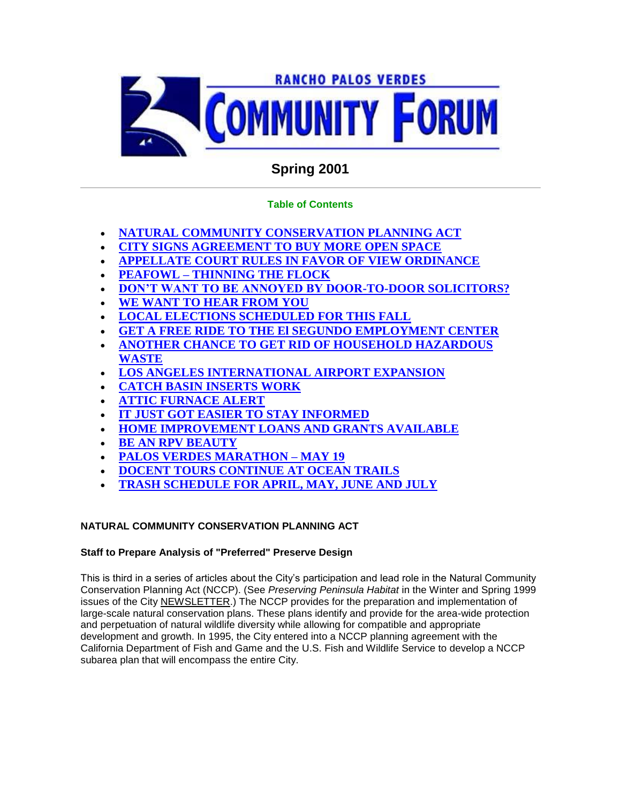

# **Spring 2001**

# **Table of Contents**

- **NATURAL COMMUNITY CONSERVATION PLANNING ACT**
- **CITY SIGNS AGREEMENT TO BUY MORE OPEN SPACE**
- **APPELLATE COURT RULES IN FAVOR OF VIEW ORDINANCE**
- **PEAFOWL – THINNING THE FLOCK**
- **DON'T WANT TO BE ANNOYED BY DOOR-TO-DOOR SOLICITORS?**
- **WE WANT TO HEAR FROM YOU**
- **LOCAL ELECTIONS SCHEDULED FOR THIS FALL**
- **GET A FREE RIDE TO THE El SEGUNDO EMPLOYMENT CENTER**
- **ANOTHER CHANCE TO GET RID OF HOUSEHOLD HAZARDOUS WASTE**
- **LOS ANGELES INTERNATIONAL AIRPORT EXPANSION**
- **CATCH BASIN INSERTS WORK**
- **ATTIC FURNACE ALERT**
- **IUST GOT EASIER TO STAY INFORMED**
- **HOME IMPROVEMENT LOANS AND GRANTS AVAILABLE**
- **BE AN RPV BEAUTY**
- **PALOS VERDES MARATHON – MAY 19**
- **DOCENT TOURS CONTINUE AT OCEAN TRAILS**
- **TRASH SCHEDULE FOR APRIL, MAY, JUNE AND JULY**

# **NATURAL COMMUNITY CONSERVATION PLANNING ACT**

# **Staff to Prepare Analysis of "Preferred" Preserve Design**

This is third in a series of articles about the City's participation and lead role in the Natural Community Conservation Planning Act (NCCP). (See *Preserving Peninsula Habitat* in the Winter and Spring 1999 issues of the City NEWSLETTER.) The NCCP provides for the preparation and implementation of large-scale natural conservation plans. These plans identify and provide for the area-wide protection and perpetuation of natural wildlife diversity while allowing for compatible and appropriate development and growth. In 1995, the City entered into a NCCP planning agreement with the California Department of Fish and Game and the U.S. Fish and Wildlife Service to develop a NCCP subarea plan that will encompass the entire City.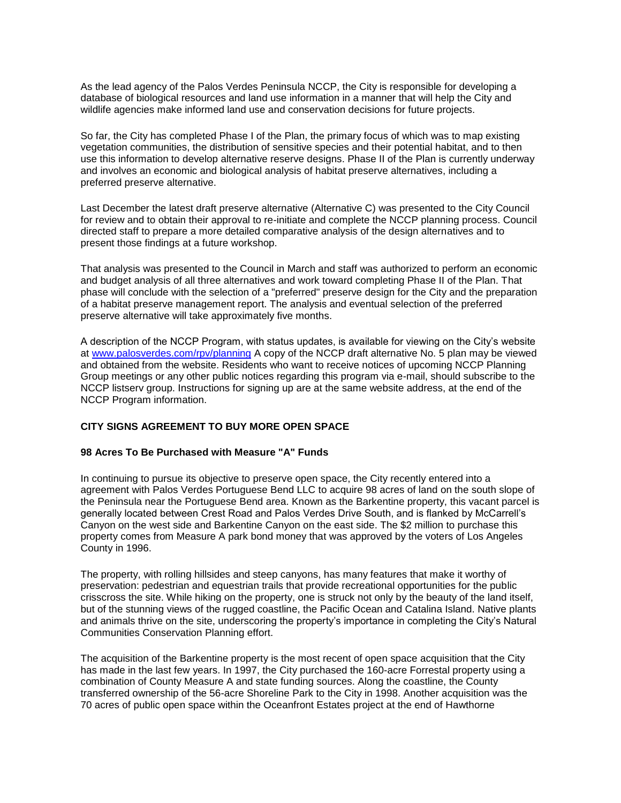As the lead agency of the Palos Verdes Peninsula NCCP, the City is responsible for developing a database of biological resources and land use information in a manner that will help the City and wildlife agencies make informed land use and conservation decisions for future projects.

So far, the City has completed Phase I of the Plan, the primary focus of which was to map existing vegetation communities, the distribution of sensitive species and their potential habitat, and to then use this information to develop alternative reserve designs. Phase II of the Plan is currently underway and involves an economic and biological analysis of habitat preserve alternatives, including a preferred preserve alternative.

Last December the latest draft preserve alternative (Alternative C) was presented to the City Council for review and to obtain their approval to re-initiate and complete the NCCP planning process. Council directed staff to prepare a more detailed comparative analysis of the design alternatives and to present those findings at a future workshop.

That analysis was presented to the Council in March and staff was authorized to perform an economic and budget analysis of all three alternatives and work toward completing Phase II of the Plan. That phase will conclude with the selection of a "preferred" preserve design for the City and the preparation of a habitat preserve management report. The analysis and eventual selection of the preferred preserve alternative will take approximately five months.

A description of the NCCP Program, with status updates, is available for viewing on the City's website at www.palosverdes.com/rpv/planning A copy of the NCCP draft alternative No. 5 plan may be viewed and obtained from the website. Residents who want to receive notices of upcoming NCCP Planning Group meetings or any other public notices regarding this program via e-mail, should subscribe to the NCCP listserv group. Instructions for signing up are at the same website address, at the end of the NCCP Program information.

## **CITY SIGNS AGREEMENT TO BUY MORE OPEN SPACE**

#### **98 Acres To Be Purchased with Measure "A" Funds**

In continuing to pursue its objective to preserve open space, the City recently entered into a agreement with Palos Verdes Portuguese Bend LLC to acquire 98 acres of land on the south slope of the Peninsula near the Portuguese Bend area. Known as the Barkentine property, this vacant parcel is generally located between Crest Road and Palos Verdes Drive South, and is flanked by McCarrell's Canyon on the west side and Barkentine Canyon on the east side. The \$2 million to purchase this property comes from Measure A park bond money that was approved by the voters of Los Angeles County in 1996.

The property, with rolling hillsides and steep canyons, has many features that make it worthy of preservation: pedestrian and equestrian trails that provide recreational opportunities for the public crisscross the site. While hiking on the property, one is struck not only by the beauty of the land itself, but of the stunning views of the rugged coastline, the Pacific Ocean and Catalina Island. Native plants and animals thrive on the site, underscoring the property's importance in completing the City's Natural Communities Conservation Planning effort.

The acquisition of the Barkentine property is the most recent of open space acquisition that the City has made in the last few years. In 1997, the City purchased the 160-acre Forrestal property using a combination of County Measure A and state funding sources. Along the coastline, the County transferred ownership of the 56-acre Shoreline Park to the City in 1998. Another acquisition was the 70 acres of public open space within the Oceanfront Estates project at the end of Hawthorne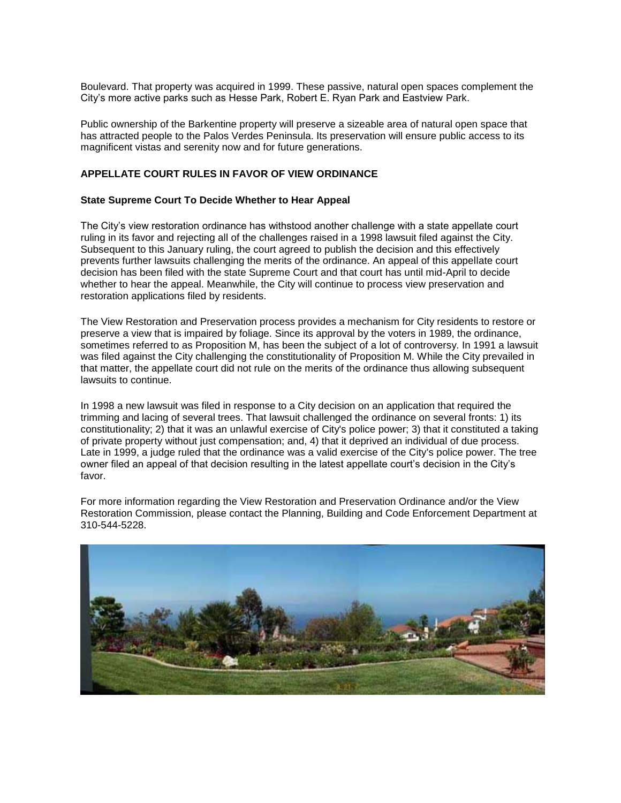Boulevard. That property was acquired in 1999. These passive, natural open spaces complement the City's more active parks such as Hesse Park, Robert E. Ryan Park and Eastview Park.

Public ownership of the Barkentine property will preserve a sizeable area of natural open space that has attracted people to the Palos Verdes Peninsula. Its preservation will ensure public access to its magnificent vistas and serenity now and for future generations.

## **APPELLATE COURT RULES IN FAVOR OF VIEW ORDINANCE**

#### **State Supreme Court To Decide Whether to Hear Appeal**

The City's view restoration ordinance has withstood another challenge with a state appellate court ruling in its favor and rejecting all of the challenges raised in a 1998 lawsuit filed against the City. Subsequent to this January ruling, the court agreed to publish the decision and this effectively prevents further lawsuits challenging the merits of the ordinance. An appeal of this appellate court decision has been filed with the state Supreme Court and that court has until mid-April to decide whether to hear the appeal. Meanwhile, the City will continue to process view preservation and restoration applications filed by residents.

The View Restoration and Preservation process provides a mechanism for City residents to restore or preserve a view that is impaired by foliage. Since its approval by the voters in 1989, the ordinance, sometimes referred to as Proposition M, has been the subject of a lot of controversy. In 1991 a lawsuit was filed against the City challenging the constitutionality of Proposition M. While the City prevailed in that matter, the appellate court did not rule on the merits of the ordinance thus allowing subsequent lawsuits to continue.

In 1998 a new lawsuit was filed in response to a City decision on an application that required the trimming and lacing of several trees. That lawsuit challenged the ordinance on several fronts: 1) its constitutionality; 2) that it was an unlawful exercise of City's police power; 3) that it constituted a taking of private property without just compensation; and, 4) that it deprived an individual of due process. Late in 1999, a judge ruled that the ordinance was a valid exercise of the City's police power. The tree owner filed an appeal of that decision resulting in the latest appellate court's decision in the City's favor.

For more information regarding the View Restoration and Preservation Ordinance and/or the View Restoration Commission, please contact the Planning, Building and Code Enforcement Department at 310-544-5228.

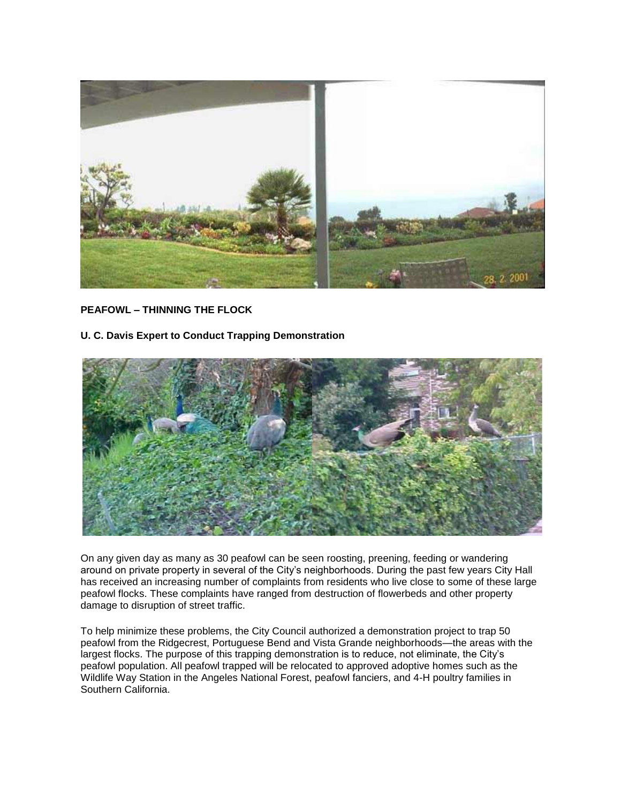

## **PEAFOWL – THINNING THE FLOCK**

## **U. C. Davis Expert to Conduct Trapping Demonstration**



On any given day as many as 30 peafowl can be seen roosting, preening, feeding or wandering around on private property in several of the City's neighborhoods. During the past few years City Hall has received an increasing number of complaints from residents who live close to some of these large peafowl flocks. These complaints have ranged from destruction of flowerbeds and other property damage to disruption of street traffic.

To help minimize these problems, the City Council authorized a demonstration project to trap 50 peafowl from the Ridgecrest, Portuguese Bend and Vista Grande neighborhoods—the areas with the largest flocks. The purpose of this trapping demonstration is to reduce, not eliminate, the City's peafowl population. All peafowl trapped will be relocated to approved adoptive homes such as the Wildlife Way Station in the Angeles National Forest, peafowl fanciers, and 4-H poultry families in Southern California.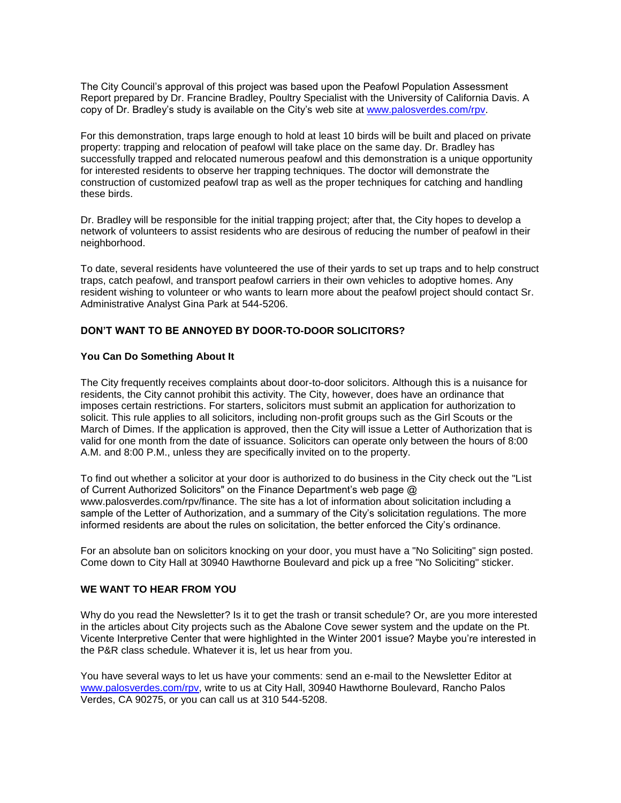The City Council's approval of this project was based upon the Peafowl Population Assessment Report prepared by Dr. Francine Bradley, Poultry Specialist with the University of California Davis. A copy of Dr. Bradley's study is available on the City's web site at www.palosverdes.com/rpv.

For this demonstration, traps large enough to hold at least 10 birds will be built and placed on private property: trapping and relocation of peafowl will take place on the same day. Dr. Bradley has successfully trapped and relocated numerous peafowl and this demonstration is a unique opportunity for interested residents to observe her trapping techniques. The doctor will demonstrate the construction of customized peafowl trap as well as the proper techniques for catching and handling these birds.

Dr. Bradley will be responsible for the initial trapping project; after that, the City hopes to develop a network of volunteers to assist residents who are desirous of reducing the number of peafowl in their neighborhood.

To date, several residents have volunteered the use of their yards to set up traps and to help construct traps, catch peafowl, and transport peafowl carriers in their own vehicles to adoptive homes. Any resident wishing to volunteer or who wants to learn more about the peafowl project should contact Sr. Administrative Analyst Gina Park at 544-5206.

## **DON'T WANT TO BE ANNOYED BY DOOR-TO-DOOR SOLICITORS?**

#### **You Can Do Something About It**

The City frequently receives complaints about door-to-door solicitors. Although this is a nuisance for residents, the City cannot prohibit this activity. The City, however, does have an ordinance that imposes certain restrictions. For starters, solicitors must submit an application for authorization to solicit. This rule applies to all solicitors, including non-profit groups such as the Girl Scouts or the March of Dimes. If the application is approved, then the City will issue a Letter of Authorization that is valid for one month from the date of issuance. Solicitors can operate only between the hours of 8:00 A.M. and 8:00 P.M., unless they are specifically invited on to the property.

To find out whether a solicitor at your door is authorized to do business in the City check out the "List of Current Authorized Solicitors" on the Finance Department's web page @ www.palosverdes.com/rpv/finance. The site has a lot of information about solicitation including a sample of the Letter of Authorization, and a summary of the City's solicitation regulations. The more informed residents are about the rules on solicitation, the better enforced the City's ordinance.

For an absolute ban on solicitors knocking on your door, you must have a "No Soliciting" sign posted. Come down to City Hall at 30940 Hawthorne Boulevard and pick up a free "No Soliciting" sticker.

#### **WE WANT TO HEAR FROM YOU**

Why do you read the Newsletter? Is it to get the trash or transit schedule? Or, are you more interested in the articles about City projects such as the Abalone Cove sewer system and the update on the Pt. Vicente Interpretive Center that were highlighted in the Winter 2001 issue? Maybe you're interested in the P&R class schedule. Whatever it is, let us hear from you.

You have several ways to let us have your comments: send an e-mail to the Newsletter Editor at www.palosverdes.com/rpv, write to us at City Hall, 30940 Hawthorne Boulevard, Rancho Palos Verdes, CA 90275, or you can call us at 310 544-5208.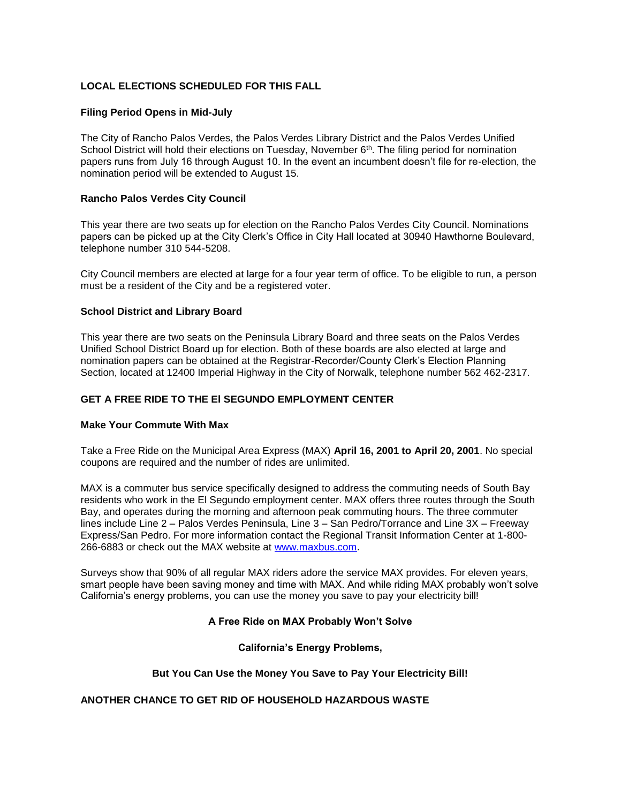## **LOCAL ELECTIONS SCHEDULED FOR THIS FALL**

#### **Filing Period Opens in Mid-July**

The City of Rancho Palos Verdes, the Palos Verdes Library District and the Palos Verdes Unified School District will hold their elections on Tuesday, November  $6<sup>th</sup>$ . The filing period for nomination papers runs from July 16 through August 10. In the event an incumbent doesn't file for re-election, the nomination period will be extended to August 15.

#### **Rancho Palos Verdes City Council**

This year there are two seats up for election on the Rancho Palos Verdes City Council. Nominations papers can be picked up at the City Clerk's Office in City Hall located at 30940 Hawthorne Boulevard, telephone number 310 544-5208.

City Council members are elected at large for a four year term of office. To be eligible to run, a person must be a resident of the City and be a registered voter.

#### **School District and Library Board**

This year there are two seats on the Peninsula Library Board and three seats on the Palos Verdes Unified School District Board up for election. Both of these boards are also elected at large and nomination papers can be obtained at the Registrar-Recorder/County Clerk's Election Planning Section, located at 12400 Imperial Highway in the City of Norwalk, telephone number 562 462-2317.

#### **GET A FREE RIDE TO THE El SEGUNDO EMPLOYMENT CENTER**

#### **Make Your Commute With Max**

Take a Free Ride on the Municipal Area Express (MAX) **April 16, 2001 to April 20, 2001**. No special coupons are required and the number of rides are unlimited.

MAX is a commuter bus service specifically designed to address the commuting needs of South Bay residents who work in the El Segundo employment center. MAX offers three routes through the South Bay, and operates during the morning and afternoon peak commuting hours. The three commuter lines include Line 2 – Palos Verdes Peninsula, Line 3 – San Pedro/Torrance and Line 3X – Freeway Express/San Pedro. For more information contact the Regional Transit Information Center at 1-800- 266-6883 or check out the MAX website at www.maxbus.com.

Surveys show that 90% of all regular MAX riders adore the service MAX provides. For eleven years, smart people have been saving money and time with MAX. And while riding MAX probably won't solve California's energy problems, you can use the money you save to pay your electricity bill!

#### **A Free Ride on MAX Probably Won't Solve**

**California's Energy Problems,** 

#### **But You Can Use the Money You Save to Pay Your Electricity Bill!**

#### **ANOTHER CHANCE TO GET RID OF HOUSEHOLD HAZARDOUS WASTE**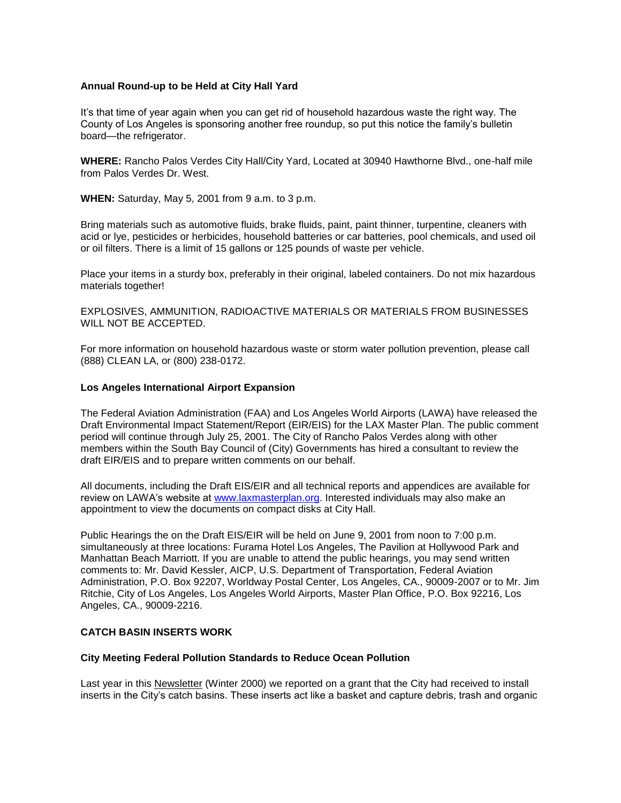#### **Annual Round-up to be Held at City Hall Yard**

It's that time of year again when you can get rid of household hazardous waste the right way. The County of Los Angeles is sponsoring another free roundup, so put this notice the family's bulletin board—the refrigerator.

**WHERE:** Rancho Palos Verdes City Hall/City Yard, Located at 30940 Hawthorne Blvd., one-half mile from Palos Verdes Dr. West.

**WHEN:** Saturday, May 5, 2001 from 9 a.m. to 3 p.m.

Bring materials such as automotive fluids, brake fluids, paint, paint thinner, turpentine, cleaners with acid or lye, pesticides or herbicides, household batteries or car batteries, pool chemicals, and used oil or oil filters. There is a limit of 15 gallons or 125 pounds of waste per vehicle.

Place your items in a sturdy box, preferably in their original, labeled containers. Do not mix hazardous materials together!

EXPLOSIVES, AMMUNITION, RADIOACTIVE MATERIALS OR MATERIALS FROM BUSINESSES WILL NOT BE ACCEPTED.

For more information on household hazardous waste or storm water pollution prevention, please call (888) CLEAN LA, or (800) 238-0172.

#### **Los Angeles International Airport Expansion**

The Federal Aviation Administration (FAA) and Los Angeles World Airports (LAWA) have released the Draft Environmental Impact Statement/Report (EIR/EIS) for the LAX Master Plan. The public comment period will continue through July 25, 2001. The City of Rancho Palos Verdes along with other members within the South Bay Council of (City) Governments has hired a consultant to review the draft EIR/EIS and to prepare written comments on our behalf.

All documents, including the Draft EIS/EIR and all technical reports and appendices are available for review on LAWA's website at www.laxmasterplan.org. Interested individuals may also make an appointment to view the documents on compact disks at City Hall.

Public Hearings the on the Draft EIS/EIR will be held on June 9, 2001 from noon to 7:00 p.m. simultaneously at three locations: Furama Hotel Los Angeles, The Pavilion at Hollywood Park and Manhattan Beach Marriott. If you are unable to attend the public hearings, you may send written comments to: Mr. David Kessler, AICP, U.S. Department of Transportation, Federal Aviation Administration, P.O. Box 92207, Worldway Postal Center, Los Angeles, CA., 90009-2007 or to Mr. Jim Ritchie, City of Los Angeles, Los Angeles World Airports, Master Plan Office, P.O. Box 92216, Los Angeles, CA., 90009-2216.

## **CATCH BASIN INSERTS WORK**

#### **City Meeting Federal Pollution Standards to Reduce Ocean Pollution**

Last year in this Newsletter (Winter 2000) we reported on a grant that the City had received to install inserts in the City's catch basins. These inserts act like a basket and capture debris, trash and organic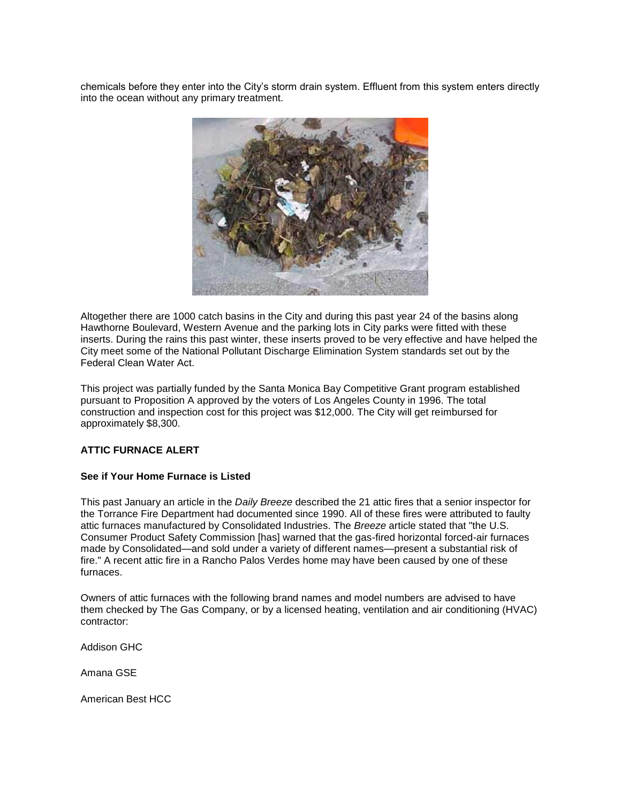chemicals before they enter into the City's storm drain system. Effluent from this system enters directly into the ocean without any primary treatment.



Altogether there are 1000 catch basins in the City and during this past year 24 of the basins along Hawthorne Boulevard, Western Avenue and the parking lots in City parks were fitted with these inserts. During the rains this past winter, these inserts proved to be very effective and have helped the City meet some of the National Pollutant Discharge Elimination System standards set out by the Federal Clean Water Act.

This project was partially funded by the Santa Monica Bay Competitive Grant program established pursuant to Proposition A approved by the voters of Los Angeles County in 1996. The total construction and inspection cost for this project was \$12,000. The City will get reimbursed for approximately \$8,300.

## **ATTIC FURNACE ALERT**

#### **See if Your Home Furnace is Listed**

This past January an article in the *Daily Breeze* described the 21 attic fires that a senior inspector for the Torrance Fire Department had documented since 1990. All of these fires were attributed to faulty attic furnaces manufactured by Consolidated Industries. The *Breeze* article stated that "the U.S. Consumer Product Safety Commission [has] warned that the gas-fired horizontal forced-air furnaces made by Consolidated—and sold under a variety of different names—present a substantial risk of fire." A recent attic fire in a Rancho Palos Verdes home may have been caused by one of these furnaces.

Owners of attic furnaces with the following brand names and model numbers are advised to have them checked by The Gas Company, or by a licensed heating, ventilation and air conditioning (HVAC) contractor:

Addison GHC

Amana GSE

American Best HCC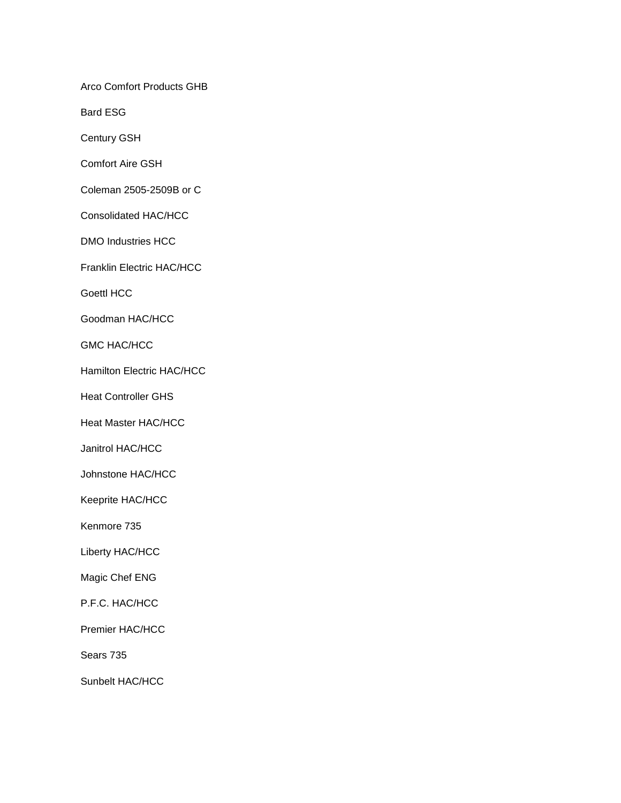Arco Comfort Products GHB

Bard ESG

Century GSH

Comfort Aire GSH

Coleman 2505-2509B or C

Consolidated HAC/HCC

DMO Industries HCC

Franklin Electric HAC/HCC

Goettl HCC

Goodman HAC/HCC

GMC HAC/HCC

Hamilton Electric HAC/HCC

Heat Controller GHS

Heat Master HAC/HCC

Janitrol HAC/HCC

Johnstone HAC/HCC

Keeprite HAC/HCC

Kenmore 735

Liberty HAC/HCC

Magic Chef ENG

P.F.C. HAC/HCC

Premier HAC/HCC

Sears 735

Sunbelt HAC/HCC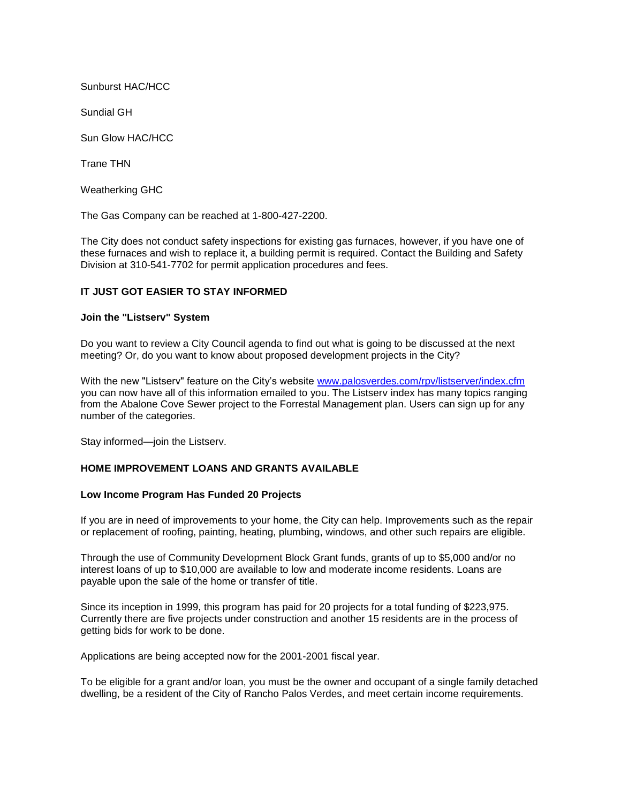Sunburst HAC/HCC

Sundial GH

Sun Glow HAC/HCC

Trane THN

Weatherking GHC

The Gas Company can be reached at 1-800-427-2200.

The City does not conduct safety inspections for existing gas furnaces, however, if you have one of these furnaces and wish to replace it, a building permit is required. Contact the Building and Safety Division at 310-541-7702 for permit application procedures and fees.

## **IT JUST GOT EASIER TO STAY INFORMED**

#### **Join the "Listserv" System**

Do you want to review a City Council agenda to find out what is going to be discussed at the next meeting? Or, do you want to know about proposed development projects in the City?

With the new "Listserv" feature on the City's website www.palosverdes.com/rpv/listserver/index.cfm you can now have all of this information emailed to you. The Listserv index has many topics ranging from the Abalone Cove Sewer project to the Forrestal Management plan. Users can sign up for any number of the categories.

Stay informed—join the Listserv.

#### **HOME IMPROVEMENT LOANS AND GRANTS AVAILABLE**

#### **Low Income Program Has Funded 20 Projects**

If you are in need of improvements to your home, the City can help. Improvements such as the repair or replacement of roofing, painting, heating, plumbing, windows, and other such repairs are eligible.

Through the use of Community Development Block Grant funds, grants of up to \$5,000 and/or no interest loans of up to \$10,000 are available to low and moderate income residents. Loans are payable upon the sale of the home or transfer of title.

Since its inception in 1999, this program has paid for 20 projects for a total funding of \$223,975. Currently there are five projects under construction and another 15 residents are in the process of getting bids for work to be done.

Applications are being accepted now for the 2001-2001 fiscal year.

To be eligible for a grant and/or loan, you must be the owner and occupant of a single family detached dwelling, be a resident of the City of Rancho Palos Verdes, and meet certain income requirements.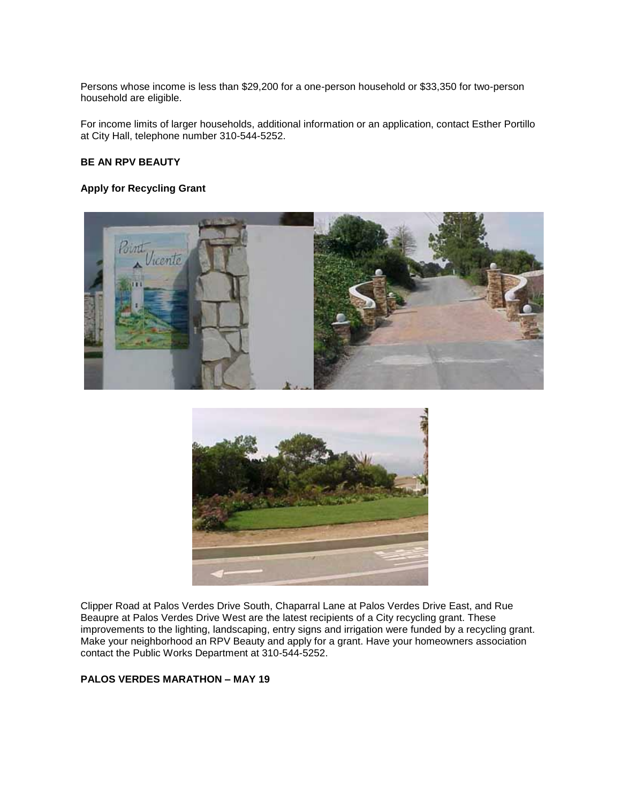Persons whose income is less than \$29,200 for a one-person household or \$33,350 for two-person household are eligible.

For income limits of larger households, additional information or an application, contact Esther Portillo at City Hall, telephone number 310-544-5252.

## **BE AN RPV BEAUTY**

## **Apply for Recycling Grant**





Clipper Road at Palos Verdes Drive South, Chaparral Lane at Palos Verdes Drive East, and Rue Beaupre at Palos Verdes Drive West are the latest recipients of a City recycling grant. These improvements to the lighting, landscaping, entry signs and irrigation were funded by a recycling grant. Make your neighborhood an RPV Beauty and apply for a grant. Have your homeowners association contact the Public Works Department at 310-544-5252.

#### **PALOS VERDES MARATHON – MAY 19**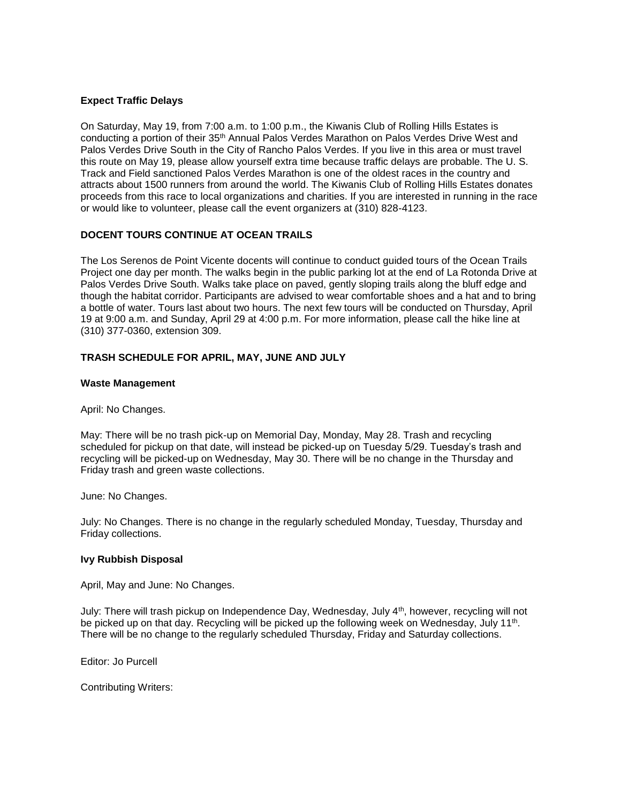#### **Expect Traffic Delays**

On Saturday, May 19, from 7:00 a.m. to 1:00 p.m., the Kiwanis Club of Rolling Hills Estates is conducting a portion of their 35<sup>th</sup> Annual Palos Verdes Marathon on Palos Verdes Drive West and Palos Verdes Drive South in the City of Rancho Palos Verdes. If you live in this area or must travel this route on May 19, please allow yourself extra time because traffic delays are probable. The U. S. Track and Field sanctioned Palos Verdes Marathon is one of the oldest races in the country and attracts about 1500 runners from around the world. The Kiwanis Club of Rolling Hills Estates donates proceeds from this race to local organizations and charities. If you are interested in running in the race or would like to volunteer, please call the event organizers at (310) 828-4123.

## **DOCENT TOURS CONTINUE AT OCEAN TRAILS**

The Los Serenos de Point Vicente docents will continue to conduct guided tours of the Ocean Trails Project one day per month. The walks begin in the public parking lot at the end of La Rotonda Drive at Palos Verdes Drive South. Walks take place on paved, gently sloping trails along the bluff edge and though the habitat corridor. Participants are advised to wear comfortable shoes and a hat and to bring a bottle of water. Tours last about two hours. The next few tours will be conducted on Thursday, April 19 at 9:00 a.m. and Sunday, April 29 at 4:00 p.m. For more information, please call the hike line at (310) 377-0360, extension 309.

## **TRASH SCHEDULE FOR APRIL, MAY, JUNE AND JULY**

#### **Waste Management**

April: No Changes.

May: There will be no trash pick-up on Memorial Day, Monday, May 28. Trash and recycling scheduled for pickup on that date, will instead be picked-up on Tuesday 5/29. Tuesday's trash and recycling will be picked-up on Wednesday, May 30. There will be no change in the Thursday and Friday trash and green waste collections.

June: No Changes.

July: No Changes. There is no change in the regularly scheduled Monday, Tuesday, Thursday and Friday collections.

#### **Ivy Rubbish Disposal**

April, May and June: No Changes.

July: There will trash pickup on Independence Day, Wednesday, July 4<sup>th</sup>, however, recycling will not be picked up on that day. Recycling will be picked up the following week on Wednesday, July 11<sup>th</sup>. There will be no change to the regularly scheduled Thursday, Friday and Saturday collections.

Editor: Jo Purcell

Contributing Writers: